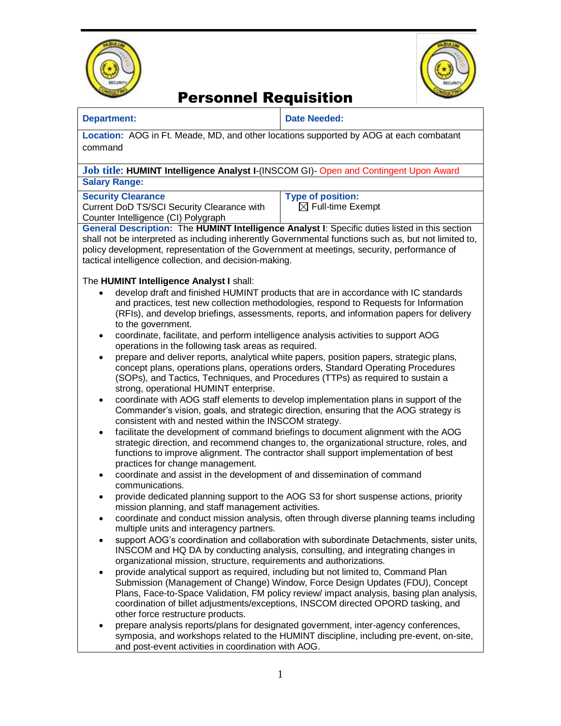



### Personnel Requisition

| <b>Department:</b> |  |  |
|--------------------|--|--|
|                    |  |  |

**Date Needed:** 

**Location:** AOG in Ft. Meade, MD, and other locations supported by AOG at each combatant command

#### **Job title**: **HUMINT Intelligence Analyst I**-(INSCOM GI)- Open and Contingent Upon Award **Salary Range:**

**Security Clearance**

Current DoD TS/SCI Security Clearance with Counter Intelligence (CI) Polygraph

**Type of position:**   $\boxtimes$  Full-time Exempt

**General Description:** The **HUMINT Intelligence Analyst I**: Specific duties listed in this section shall not be interpreted as including inherently Governmental functions such as, but not limited to, policy development, representation of the Government at meetings, security, performance of tactical intelligence collection, and decision-making.

### The **HUMINT Intelligence Analyst I** shall:

- develop draft and finished HUMINT products that are in accordance with IC standards and practices, test new collection methodologies, respond to Requests for Information (RFIs), and develop briefings, assessments, reports, and information papers for delivery to the government.
- coordinate, facilitate, and perform intelligence analysis activities to support AOG operations in the following task areas as required.
- prepare and deliver reports, analytical white papers, position papers, strategic plans, concept plans, operations plans, operations orders, Standard Operating Procedures (SOPs), and Tactics, Techniques, and Procedures (TTPs) as required to sustain a strong, operational HUMINT enterprise.
- coordinate with AOG staff elements to develop implementation plans in support of the Commander's vision, goals, and strategic direction, ensuring that the AOG strategy is consistent with and nested within the INSCOM strategy.
- facilitate the development of command briefings to document alignment with the AOG strategic direction, and recommend changes to, the organizational structure, roles, and functions to improve alignment. The contractor shall support implementation of best practices for change management.
- coordinate and assist in the development of and dissemination of command communications.
- provide dedicated planning support to the AOG S3 for short suspense actions, priority mission planning, and staff management activities.
- coordinate and conduct mission analysis, often through diverse planning teams including multiple units and interagency partners.
- support AOG's coordination and collaboration with subordinate Detachments, sister units, INSCOM and HQ DA by conducting analysis, consulting, and integrating changes in organizational mission, structure, requirements and authorizations.
- provide analytical support as required, including but not limited to, Command Plan Submission (Management of Change) Window, Force Design Updates (FDU), Concept Plans, Face-to-Space Validation, FM policy review/ impact analysis, basing plan analysis, coordination of billet adjustments/exceptions, INSCOM directed OPORD tasking, and other force restructure products.
- prepare analysis reports/plans for designated government, inter-agency conferences, symposia, and workshops related to the HUMINT discipline, including pre-event, on-site, and post-event activities in coordination with AOG.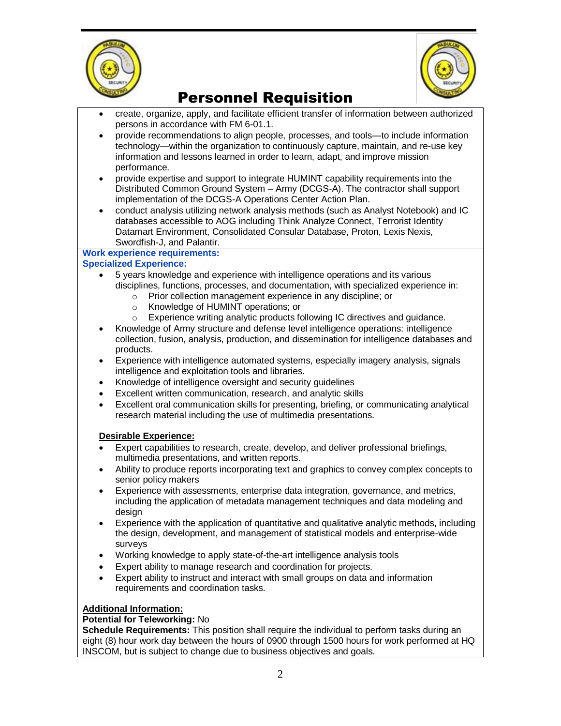



# Personnel Requisition

- create, organize, apply, and facilitate efficient transfer of information between authorized persons in accordance with FM 6-01.1.
- provide recommendations to align people, processes, and tools—to include information technology—within the organization to continuously capture, maintain, and re-use key information and lessons learned in order to learn, adapt, and improve mission performance.
- provide expertise and support to integrate HUMINT capability requirements into the Distributed Common Ground System – Army (DCGS-A). The contractor shall support implementation of the DCGS-A Operations Center Action Plan.
- conduct analysis utilizing network analysis methods (such as Analyst Notebook) and IC databases accessible to AOG including Think Analyze Connect, Terrorist Identity Datamart Environment, Consolidated Consular Database, Proton, Lexis Nexis, Swordfish-J, and Palantir.

### **Work experience requirements:**

#### **Specialized Experience:**

- 5 years knowledge and experience with intelligence operations and its various disciplines, functions, processes, and documentation, with specialized experience in:
	- o Prior collection management experience in any discipline; or
	- o Knowledge of HUMINT operations; or
	- o Experience writing analytic products following IC directives and guidance.
- Knowledge of Army structure and defense level intelligence operations: intelligence collection, fusion, analysis, production, and dissemination for intelligence databases and products.
- Experience with intelligence automated systems, especially imagery analysis, signals intelligence and exploitation tools and libraries.
- Knowledge of intelligence oversight and security guidelines
- Excellent written communication, research, and analytic skills
- Excellent oral communication skills for presenting, briefing, or communicating analytical research material including the use of multimedia presentations.

#### **Desirable Experience:**

- Expert capabilities to research, create, develop, and deliver professional briefings, multimedia presentations, and written reports.
- Ability to produce reports incorporating text and graphics to convey complex concepts to senior policy makers
- Experience with assessments, enterprise data integration, governance, and metrics, including the application of metadata management techniques and data modeling and design
- Experience with the application of quantitative and qualitative analytic methods, including the design, development, and management of statistical models and enterprise-wide surveys
- Working knowledge to apply state-of-the-art intelligence analysis tools
- Expert ability to manage research and coordination for projects.
- Expert ability to instruct and interact with small groups on data and information requirements and coordination tasks.

#### **Additional Information:**

#### **Potential for Teleworking:** No

**Schedule Requirements:** This position shall require the individual to perform tasks during an eight (8) hour work day between the hours of 0900 through 1500 hours for work performed at HQ INSCOM, but is subject to change due to business objectives and goals.